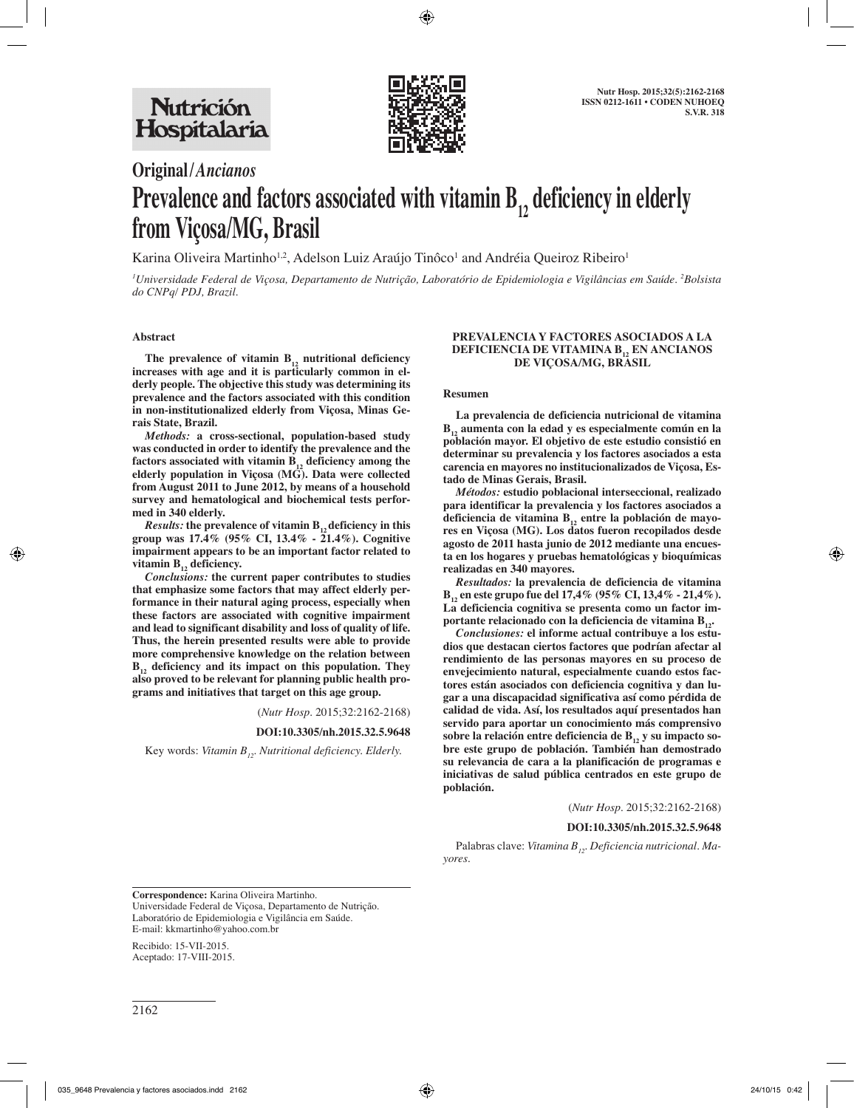

# **Original/***Ancianos* **Prevalence and factors associated with vitamin**  $B_{12}$  **deficiency in elderly from Viçosa/MG, Brasil**

Karina Oliveira Martinho $^{1,2}$ , Adelson Luiz Araújo Tinôco $^{1}$  and Andréia Queiroz Ribeiro $^{1}$ 

*1 Universidade Federal de Viçosa, Departamento de Nutrição, Laboratório de Epidemiologia e Vigilâncias em Saúde. 2 Bolsista do CNPq/ PDJ, Brazil.*

### **Abstract**

The prevalence of vitamin  $B_{12}$  nutritional deficiency **increases with age and it is particularly common in elderly people. The objective this study was determining its prevalence and the factors associated with this condition in non-institutionalized elderly from Viçosa, Minas Gerais State, Brazil.** 

*Methods:* **a cross-sectional, population-based study was conducted in order to identify the prevalence and the**  factors associated with vitamin  $B_{12}$  deficiency among the **elderly population in Viçosa (MG). Data were collected from August 2011 to June 2012, by means of a household survey and hematological and biochemical tests performed in 340 elderly.** 

*Results:* the prevalence of vitamin  $B_{12}$  deficiency in this **group was 17.4% (95% CI, 13.4% - 21.4%). Cognitive impairment appears to be an important factor related to**  vitamin B<sub>12</sub> deficiency.

*Conclusions:* **the current paper contributes to studies that emphasize some factors that may affect elderly performance in their natural aging process, especially when these factors are associated with cognitive impairment and lead to significant disability and loss of quality of life. Thus, the herein presented results were able to provide more comprehensive knowledge on the relation between B12 deficiency and its impact on this population. They also proved to be relevant for planning public health programs and initiatives that target on this age group.**

(*Nutr Hosp.* 2015;32:2162-2168)

#### **DOI:10.3305/nh.2015.32.5.9648**

Key words: Vitamin B<sub>12</sub>. Nutritional deficiency. Elderly.

### **PREVALENCIA Y FACTORES ASOCIADOS A LA DEFICIENCIA DE VITAMINA B<sub>12</sub> EN ANCIANOS DE VIÇOSA/MG, BRASIL**

#### **Resumen**

**La prevalencia de deficiencia nutricional de vitamina B12 aumenta con la edad y es especialmente común en la población mayor. El objetivo de este estudio consistió en determinar su prevalencia y los factores asociados a esta carencia en mayores no institucionalizados de Viçosa, Estado de Minas Gerais, Brasil.**

*Métodos:* **estudio poblacional interseccional, realizado para identificar la prevalencia y los factores asociados a**  deficiencia de vitamina B<sub>12</sub> entre la población de mayo**res en Viçosa (MG). Los datos fueron recopilados desde agosto de 2011 hasta junio de 2012 mediante una encuesta en los hogares y pruebas hematológicas y bioquímicas realizadas en 340 mayores.**

*Resultados:* **la prevalencia de deficiencia de vitamina B12 en este grupo fue del 17,4% (95% CI, 13,4% - 21,4%). La deficiencia cognitiva se presenta como un factor im**portante relacionado con la deficiencia de vitamina B<sub>12</sub>.

*Conclusiones:* **el informe actual contribuye a los estudios que destacan ciertos factores que podrían afectar al rendimiento de las personas mayores en su proceso de envejecimiento natural, especialmente cuando estos factores están asociados con deficiencia cognitiva y dan lugar a una discapacidad significativa así como pérdida de calidad de vida. Así, los resultados aquí presentados han servido para aportar un conocimiento más comprensivo**  sobre la relación entre deficiencia de B<sub>12</sub> y su impacto so**bre este grupo de población. También han demostrado su relevancia de cara a la planificación de programas e iniciativas de salud pública centrados en este grupo de población.**

(*Nutr Hosp.* 2015;32:2162-2168)

#### **DOI:10.3305/nh.2015.32.5.9648**

Palabras clave: *Vitamina B<sub>12</sub>*. *Deficiencia nutricional. Mayores.*

**Correspondence:** Karina Oliveira Martinho. Universidade Federal de Viçosa, Departamento de Nutrição. Laboratório de Epidemiologia e Vigilância em Saúde. E-mail: kkmartinho@yahoo.com.br

Recibido: 15-VII-2015. Aceptado: 17-VIII-2015.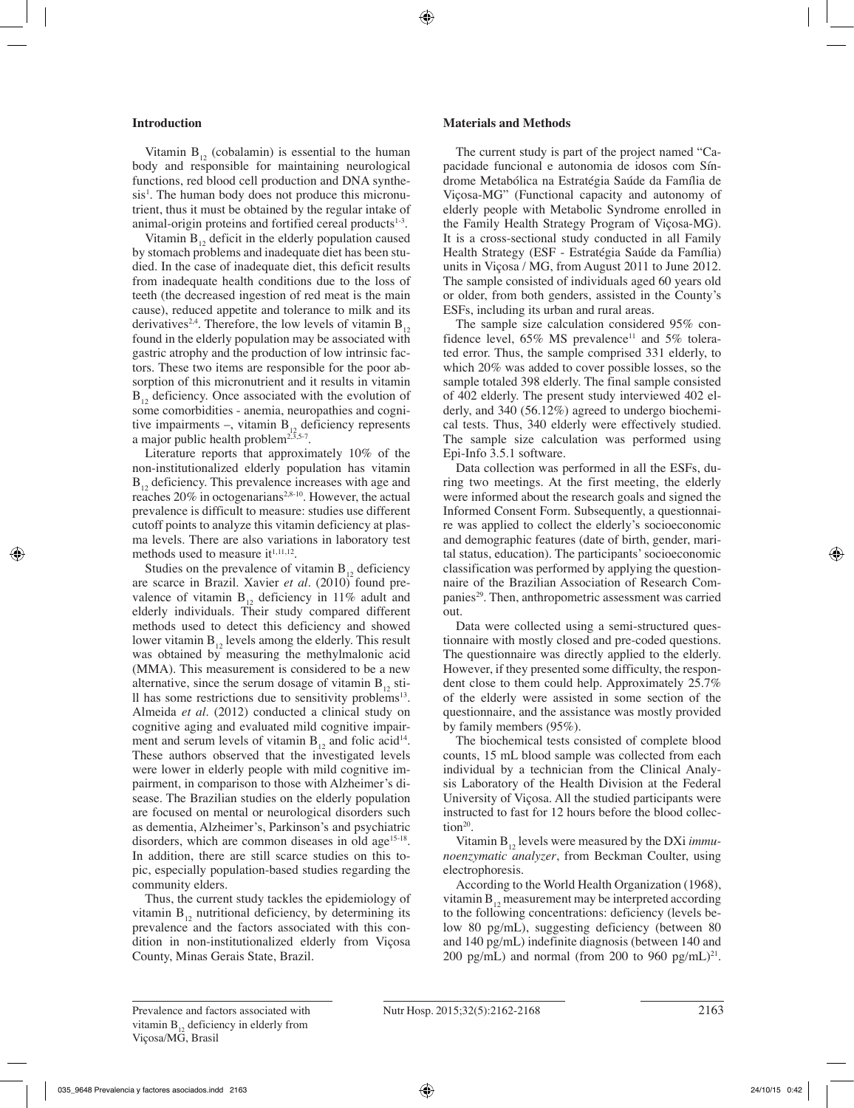## **Introduction**

Vitamin  $B_{12}$  (cobalamin) is essential to the human body and responsible for maintaining neurological functions, red blood cell production and DNA synthesis<sup>1</sup>. The human body does not produce this micronutrient, thus it must be obtained by the regular intake of animal-origin proteins and fortified cereal products<sup>1-3</sup>.

Vitamin  $B_{12}$ , deficit in the elderly population caused by stomach problems and inadequate diet has been studied. In the case of inadequate diet, this deficit results from inadequate health conditions due to the loss of teeth (the decreased ingestion of red meat is the main cause), reduced appetite and tolerance to milk and its derivatives<sup>2,4</sup>. Therefore, the low levels of vitamin  $B_{12}$ found in the elderly population may be associated with gastric atrophy and the production of low intrinsic factors. These two items are responsible for the poor absorption of this micronutrient and it results in vitamin  $B_{12}$  deficiency. Once associated with the evolution of some comorbidities - anemia, neuropathies and cognitive impairments –, vitamin  $B_{12}$  deficiency represents a major public health problem<sup>2,3,5-7</sup>.

Literature reports that approximately 10% of the non-institutionalized elderly population has vitamin  $B_{12}$  deficiency. This prevalence increases with age and reaches  $20\%$  in octogenarians<sup>2,8-10</sup>. However, the actual prevalence is difficult to measure: studies use different cutoff points to analyze this vitamin deficiency at plasma levels. There are also variations in laboratory test methods used to measure it<sup>1,11,12</sup>.

Studies on the prevalence of vitamin  $B_{12}$  deficiency are scarce in Brazil. Xavier *et al.* (2010) found prevalence of vitamin  $B_{12}$  deficiency in 11% adult and elderly individuals. Their study compared different methods used to detect this deficiency and showed lower vitamin  $B_{12}$  levels among the elderly. This result was obtained by measuring the methylmalonic acid (MMA). This measurement is considered to be a new alternative, since the serum dosage of vitamin  $B_{12}$  still has some restrictions due to sensitivity problems13. Almeida *et al.* (2012) conducted a clinical study on cognitive aging and evaluated mild cognitive impairment and serum levels of vitamin  $B_{12}$  and folic acid<sup>14</sup>. These authors observed that the investigated levels were lower in elderly people with mild cognitive impairment, in comparison to those with Alzheimer's disease. The Brazilian studies on the elderly population are focused on mental or neurological disorders such as dementia, Alzheimer's, Parkinson's and psychiatric disorders, which are common diseases in old age<sup>15-18</sup>. In addition, there are still scarce studies on this topic, especially population-based studies regarding the community elders.

Thus, the current study tackles the epidemiology of vitamin  $B_{12}$  nutritional deficiency, by determining its prevalence and the factors associated with this condition in non-institutionalized elderly from Viçosa County, Minas Gerais State, Brazil.

## **Materials and Methods**

The current study is part of the project named "Capacidade funcional e autonomia de idosos com Síndrome Metabólica na Estratégia Saúde da Família de Viçosa-MG" (Functional capacity and autonomy of elderly people with Metabolic Syndrome enrolled in the Family Health Strategy Program of Viçosa-MG). It is a cross-sectional study conducted in all Family Health Strategy (ESF - Estratégia Saúde da Família) units in Viçosa / MG, from August 2011 to June 2012. The sample consisted of individuals aged 60 years old or older, from both genders, assisted in the County's ESFs, including its urban and rural areas.

The sample size calculation considered 95% confidence level,  $65\%$  MS prevalence<sup>11</sup> and  $5\%$  tolerated error. Thus, the sample comprised 331 elderly, to which 20% was added to cover possible losses, so the sample totaled 398 elderly. The final sample consisted of 402 elderly. The present study interviewed 402 elderly, and 340 (56.12%) agreed to undergo biochemical tests. Thus, 340 elderly were effectively studied. The sample size calculation was performed using Epi-Info 3.5.1 software.

Data collection was performed in all the ESFs, during two meetings. At the first meeting, the elderly were informed about the research goals and signed the Informed Consent Form. Subsequently, a questionnaire was applied to collect the elderly's socioeconomic and demographic features (date of birth, gender, marital status, education). The participants' socioeconomic classification was performed by applying the questionnaire of the Brazilian Association of Research Companies<sup>29</sup>. Then, anthropometric assessment was carried out.

Data were collected using a semi-structured questionnaire with mostly closed and pre-coded questions. The questionnaire was directly applied to the elderly. However, if they presented some difficulty, the respondent close to them could help. Approximately 25.7% of the elderly were assisted in some section of the questionnaire, and the assistance was mostly provided by family members (95%).

The biochemical tests consisted of complete blood counts, 15 mL blood sample was collected from each individual by a technician from the Clinical Analysis Laboratory of the Health Division at the Federal University of Viçosa. All the studied participants were instructed to fast for 12 hours before the blood collection<sup>20</sup>.

Vitamin B<sub>12</sub> levels were measured by the DXi *immunoenzymatic analyzer*, from Beckman Coulter, using electrophoresis.

According to the World Health Organization (1968), vitamin  $B_{12}$  measurement may be interpreted according to the following concentrations: deficiency (levels below 80 pg/mL), suggesting deficiency (between 80 and 140 pg/mL) indefinite diagnosis (between 140 and 200 pg/mL) and normal (from 200 to 960 pg/mL)<sup>21</sup>.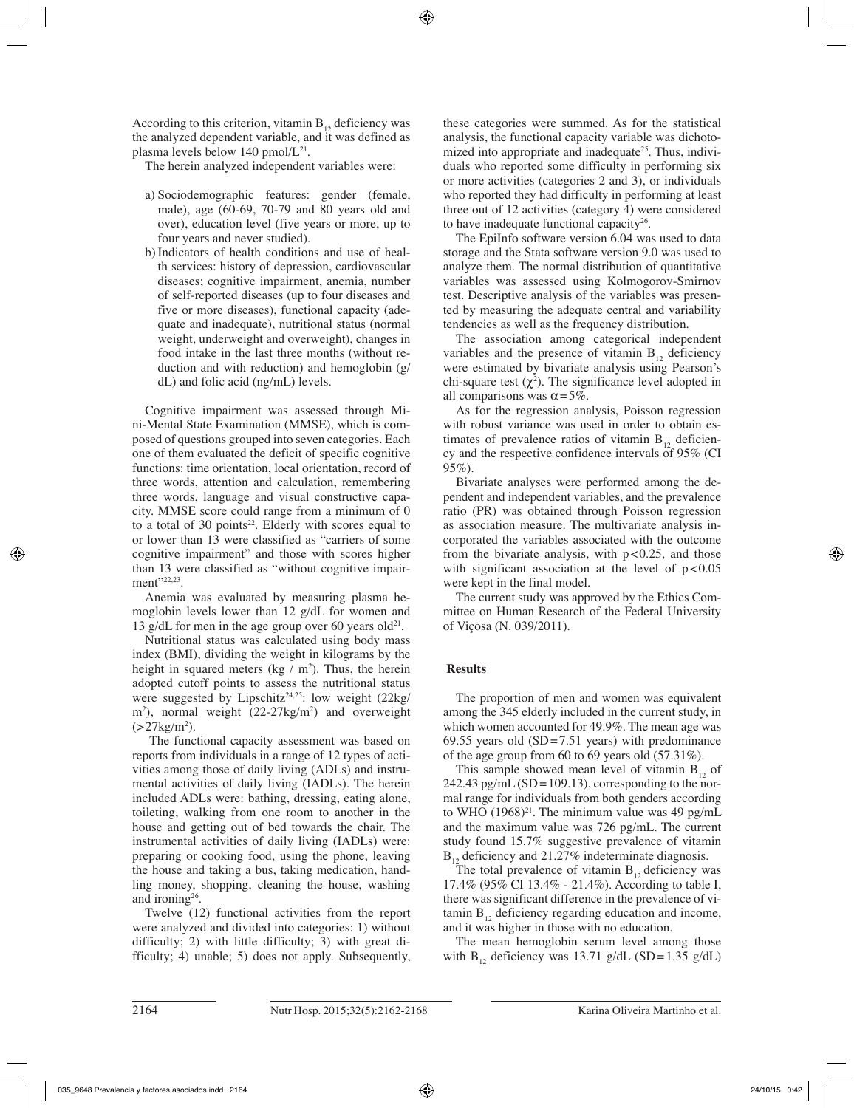According to this criterion, vitamin  $B_{12}$  deficiency was the analyzed dependent variable, and it was defined as plasma levels below 140 pmol/ $L^{21}$ .

The herein analyzed independent variables were:

- a) Sociodemographic features: gender (female, male), age (60-69, 70-79 and 80 years old and over), education level (five years or more, up to four years and never studied).
- b)Indicators of health conditions and use of health services: history of depression, cardiovascular diseases; cognitive impairment, anemia, number of self-reported diseases (up to four diseases and five or more diseases), functional capacity (adequate and inadequate), nutritional status (normal weight, underweight and overweight), changes in food intake in the last three months (without reduction and with reduction) and hemoglobin (g/ dL) and folic acid (ng/mL) levels.

Cognitive impairment was assessed through Mini-Mental State Examination (MMSE), which is composed of questions grouped into seven categories. Each one of them evaluated the deficit of specific cognitive functions: time orientation, local orientation, record of three words, attention and calculation, remembering three words, language and visual constructive capacity. MMSE score could range from a minimum of 0 to a total of 30 points<sup>22</sup>. Elderly with scores equal to or lower than 13 were classified as "carriers of some cognitive impairment" and those with scores higher than 13 were classified as "without cognitive impairment"<sup>22,23</sup>.

Anemia was evaluated by measuring plasma hemoglobin levels lower than 12 g/dL for women and 13 g/dL for men in the age group over 60 years old<sup>21</sup>.

Nutritional status was calculated using body mass index (BMI), dividing the weight in kilograms by the height in squared meters (kg  $/m<sup>2</sup>$ ). Thus, the herein adopted cutoff points to assess the nutritional status were suggested by Lipschitz<sup>24,25</sup>: low weight  $(22\text{kg}/)$ m<sup>2</sup>), normal weight (22-27kg/m<sup>2</sup>) and overweight  $( > 27 \text{kg/m}^2).$ 

 The functional capacity assessment was based on reports from individuals in a range of 12 types of activities among those of daily living (ADLs) and instrumental activities of daily living (IADLs). The herein included ADLs were: bathing, dressing, eating alone, toileting, walking from one room to another in the house and getting out of bed towards the chair. The instrumental activities of daily living (IADLs) were: preparing or cooking food, using the phone, leaving the house and taking a bus, taking medication, handling money, shopping, cleaning the house, washing and ironing26.

Twelve (12) functional activities from the report were analyzed and divided into categories: 1) without difficulty; 2) with little difficulty; 3) with great difficulty; 4) unable; 5) does not apply. Subsequently, these categories were summed. As for the statistical analysis, the functional capacity variable was dichotomized into appropriate and inadequate<sup>25</sup>. Thus, individuals who reported some difficulty in performing six or more activities (categories 2 and 3), or individuals who reported they had difficulty in performing at least three out of 12 activities (category 4) were considered to have inadequate functional capacity<sup>26</sup>.

The EpiInfo software version 6.04 was used to data storage and the Stata software version 9.0 was used to analyze them. The normal distribution of quantitative variables was assessed using Kolmogorov-Smirnov test. Descriptive analysis of the variables was presented by measuring the adequate central and variability tendencies as well as the frequency distribution.

The association among categorical independent variables and the presence of vitamin  $B_{12}$  deficiency were estimated by bivariate analysis using Pearson's chi-square test  $(\chi^2)$ . The significance level adopted in all comparisons was  $\alpha = 5\%$ .

As for the regression analysis, Poisson regression with robust variance was used in order to obtain estimates of prevalence ratios of vitamin  $B_{12}$  deficiency and the respective confidence intervals of 95% (CI 95%).

Bivariate analyses were performed among the dependent and independent variables, and the prevalence ratio (PR) was obtained through Poisson regression as association measure. The multivariate analysis incorporated the variables associated with the outcome from the bivariate analysis, with  $p < 0.25$ , and those with significant association at the level of  $p < 0.05$ were kept in the final model.

The current study was approved by the Ethics Committee on Human Research of the Federal University of Viçosa (N. 039/2011).

## **Results**

The proportion of men and women was equivalent among the 345 elderly included in the current study, in which women accounted for 49.9%. The mean age was 69.55 years old  $(SD=7.51$  years) with predominance of the age group from 60 to 69 years old (57.31%).

This sample showed mean level of vitamin  $B_{12}$  of 242.43 pg/mL  $(SD=109.13)$ , corresponding to the normal range for individuals from both genders according to WHO  $(1968)^{21}$ . The minimum value was 49 pg/mL and the maximum value was 726 pg/mL. The current study found 15.7% suggestive prevalence of vitamin  $B_{12}$  deficiency and 21.27% indeterminate diagnosis.

The total prevalence of vitamin  $B_{12}$  deficiency was 17.4% (95% CI 13.4% - 21.4%). According to table I, there was significant difference in the prevalence of vitamin  $B_{12}$  deficiency regarding education and income, and it was higher in those with no education.

The mean hemoglobin serum level among those with  $B_{12}$  deficiency was 13.71 g/dL (SD=1.35 g/dL)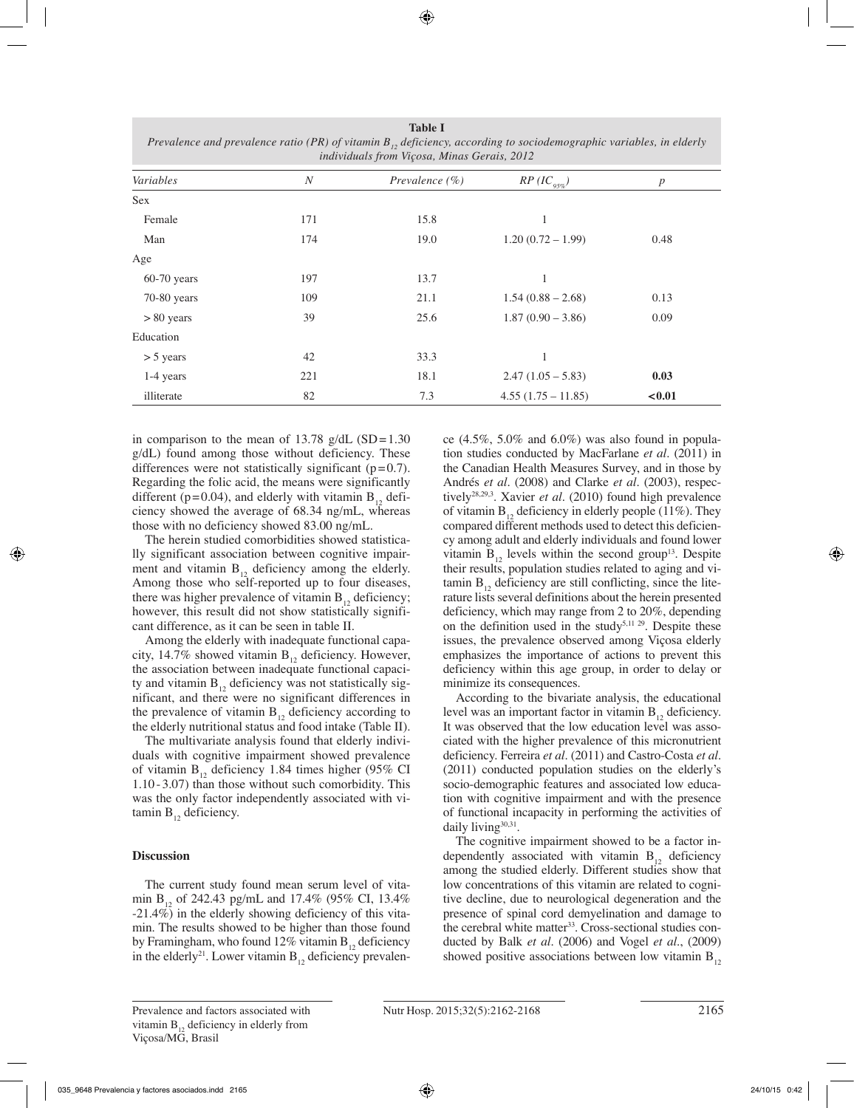| Prevalence and prevalence ratio (PR) of vitamin $B_{12}$ , deficiency, according to sociodemographic variables, in elderly<br>individuals from Viçosa, Minas Gerais, 2012 |                  |                    |                     |      |  |  |
|---------------------------------------------------------------------------------------------------------------------------------------------------------------------------|------------------|--------------------|---------------------|------|--|--|
| Variables                                                                                                                                                                 | $\boldsymbol{N}$ | Prevalence $(\% )$ | $RP (IC_{95\%})$    | p    |  |  |
| <b>Sex</b>                                                                                                                                                                |                  |                    |                     |      |  |  |
| Female                                                                                                                                                                    | 171              | 15.8               |                     |      |  |  |
| Man                                                                                                                                                                       | 174              | 19.0               | $1.20(0.72 - 1.99)$ | 0.48 |  |  |
| Age                                                                                                                                                                       |                  |                    |                     |      |  |  |
| $60-70$ years                                                                                                                                                             | 197              | 13.7               |                     |      |  |  |
| 70-80 years                                                                                                                                                               | 109              | 21.1               | $1.54(0.88 - 2.68)$ | 0.13 |  |  |
| $> 80$ years                                                                                                                                                              | 39               | 25.6               | $1.87(0.90 - 3.86)$ | 0.09 |  |  |
| Education                                                                                                                                                                 |                  |                    |                     |      |  |  |
| $>$ 5 years                                                                                                                                                               | 42               | 33.3               |                     |      |  |  |

1-4 years 221 18.1 2.47 (1.05 – 5.83) **0.03** illiterate 82 82 7.3 4.55 (1.75 – 11.85) **<0.01** 

**Table I**

in comparison to the mean of 13.78 g/dL  $(SD=1.30$ g/dL) found among those without deficiency. These differences were not statistically significant  $(p=0.7)$ . Regarding the folic acid, the means were significantly different ( $p=0.04$ ), and elderly with vitamin  $B_{12}$  deficiency showed the average of 68.34 ng/mL, whereas those with no deficiency showed 83.00 ng/mL.

The herein studied comorbidities showed statistically significant association between cognitive impairment and vitamin  $B_{12}$  deficiency among the elderly. Among those who self-reported up to four diseases, there was higher prevalence of vitamin  $B_{12}$  deficiency; however, this result did not show statistically significant difference, as it can be seen in table II.

Among the elderly with inadequate functional capacity, 14.7% showed vitamin  $B_{12}$  deficiency. However, the association between inadequate functional capacity and vitamin  $B_{12}$  deficiency was not statistically significant, and there were no significant differences in the prevalence of vitamin  $B_{12}$  deficiency according to the elderly nutritional status and food intake (Table II).

The multivariate analysis found that elderly individuals with cognitive impairment showed prevalence of vitamin  $B_{12}$  deficiency 1.84 times higher (95% CI 1.10 - 3.07) than those without such comorbidity. This was the only factor independently associated with vitamin  $B_{12}$  deficiency.

## **Discussion**

The current study found mean serum level of vitamin B<sub>12</sub> of 242.43 pg/mL and 17.4% (95% CI, 13.4%) -21.4%) in the elderly showing deficiency of this vitamin. The results showed to be higher than those found by Framingham, who found 12% vitamin  $B_{12}$  deficiency in the elderly<sup>21</sup>. Lower vitamin  $B_{12}$  deficiency prevalence  $(4.5\%, 5.0\%$  and  $6.0\%)$  was also found in population studies conducted by MacFarlane *et al.* (2011) in the Canadian Health Measures Survey, and in those by Andrés *et al.* (2008) and Clarke *et al.* (2003), respectively28,29,3. Xavier *et al.* (2010) found high prevalence of vitamin  $B_{12}$  deficiency in elderly people (11%). They compared different methods used to detect this deficiency among adult and elderly individuals and found lower vitamin  $B_{12}$  levels within the second group<sup>13</sup>. Despite their results, population studies related to aging and vitamin  $B_{12}$  deficiency are still conflicting, since the literature lists several definitions about the herein presented deficiency, which may range from 2 to 20%, depending on the definition used in the study<sup>5,11 29</sup>. Despite these issues, the prevalence observed among Viçosa elderly emphasizes the importance of actions to prevent this deficiency within this age group, in order to delay or minimize its consequences.

According to the bivariate analysis, the educational level was an important factor in vitamin  $B_{12}$  deficiency. It was observed that the low education level was associated with the higher prevalence of this micronutrient deficiency. Ferreira *et al.* (2011) and Castro-Costa *et al.* (2011) conducted population studies on the elderly's socio-demographic features and associated low education with cognitive impairment and with the presence of functional incapacity in performing the activities of daily living<sup>30,31</sup>.

The cognitive impairment showed to be a factor independently associated with vitamin  $B_{12}$  deficiency among the studied elderly. Different studies show that low concentrations of this vitamin are related to cognitive decline, due to neurological degeneration and the presence of spinal cord demyelination and damage to the cerebral white matter<sup>33</sup>. Cross-sectional studies conducted by Balk *et al.* (2006) and Vogel *et al.*, (2009) showed positive associations between low vitamin  $B_{12}$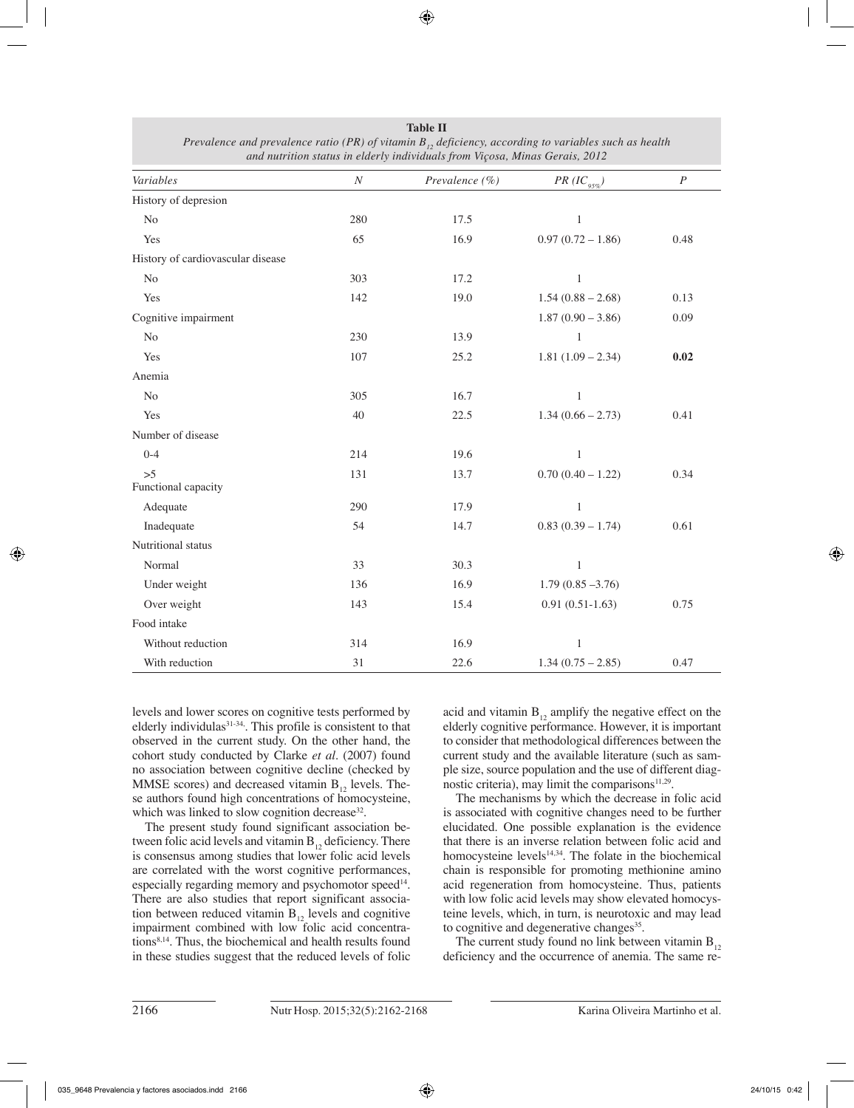| Variables                         | $\boldsymbol{N}$ | Prevalence $(\% )$ | $PR (IC_{95\%})$    | $\cal P$ |
|-----------------------------------|------------------|--------------------|---------------------|----------|
| History of depresion              |                  |                    |                     |          |
| $\rm No$                          | 280              | 17.5               | $\mathbf{1}$        |          |
| Yes                               | 65               | 16.9               | $0.97(0.72 - 1.86)$ | 0.48     |
| History of cardiovascular disease |                  |                    |                     |          |
| N <sub>0</sub>                    | 303              | 17.2               | $\mathbf{1}$        |          |
| Yes                               | 142              | 19.0               | $1.54(0.88 - 2.68)$ | 0.13     |
| Cognitive impairment              |                  |                    | $1.87(0.90 - 3.86)$ | 0.09     |
| No                                | 230              | 13.9               | $\mathbf{1}$        |          |
| Yes                               | 107              | 25.2               | $1.81(1.09 - 2.34)$ | 0.02     |
| Anemia                            |                  |                    |                     |          |
| No                                | 305              | 16.7               | $\mathbf{1}$        |          |
| Yes                               | 40               | 22.5               | $1.34(0.66 - 2.73)$ | 0.41     |
| Number of disease                 |                  |                    |                     |          |
| $0 - 4$                           | 214              | 19.6               | $\mathbf{1}$        |          |
| >5<br>Functional capacity         | 131              | 13.7               | $0.70(0.40 - 1.22)$ | 0.34     |
| Adequate                          | 290              | 17.9               | $\mathbf{1}$        |          |
| Inadequate                        | 54               | 14.7               | $0.83(0.39 - 1.74)$ | 0.61     |
| Nutritional status                |                  |                    |                     |          |
| Normal                            | 33               | 30.3               | $\mathbf{1}$        |          |
| Under weight                      | 136              | 16.9               | $1.79(0.85 - 3.76)$ |          |
| Over weight                       | 143              | 15.4               | $0.91(0.51-1.63)$   | 0.75     |
| Food intake                       |                  |                    |                     |          |
| Without reduction                 | 314              | 16.9               | $\mathbf{1}$        |          |
| With reduction                    | 31               | 22.6               | $1.34(0.75 - 2.85)$ | 0.47     |

**Table II** *Prevalence and prevalence ratio (PR) of vitamin B<sub>12</sub> deficiency, according to variables such as health and nutrition status in elderly individuals from Viçosa, Minas Gerais, 2012*

levels and lower scores on cognitive tests performed by elderly individulas<sup>31-34</sup>. This profile is consistent to that observed in the current study. On the other hand, the cohort study conducted by Clarke *et al.* (2007) found no association between cognitive decline (checked by MMSE scores) and decreased vitamin  $B_{12}$  levels. These authors found high concentrations of homocysteine, which was linked to slow cognition decrease<sup>32</sup>.

The present study found significant association between folic acid levels and vitamin  $B_{12}$  deficiency. There is consensus among studies that lower folic acid levels are correlated with the worst cognitive performances, especially regarding memory and psychomotor speed<sup>14</sup>. There are also studies that report significant association between reduced vitamin  $B_{12}$  levels and cognitive impairment combined with low folic acid concentrations8,14. Thus, the biochemical and health results found in these studies suggest that the reduced levels of folic acid and vitamin  $B_{12}$  amplify the negative effect on the elderly cognitive performance. However, it is important to consider that methodological differences between the current study and the available literature (such as sample size, source population and the use of different diagnostic criteria), may limit the comparisons<sup>11,29</sup>.

The mechanisms by which the decrease in folic acid is associated with cognitive changes need to be further elucidated. One possible explanation is the evidence that there is an inverse relation between folic acid and homocysteine levels<sup>14,34</sup>. The folate in the biochemical chain is responsible for promoting methionine amino acid regeneration from homocysteine. Thus, patients with low folic acid levels may show elevated homocysteine levels, which, in turn, is neurotoxic and may lead to cognitive and degenerative changes<sup>35</sup>.

The current study found no link between vitamin  $B_{12}$ deficiency and the occurrence of anemia. The same re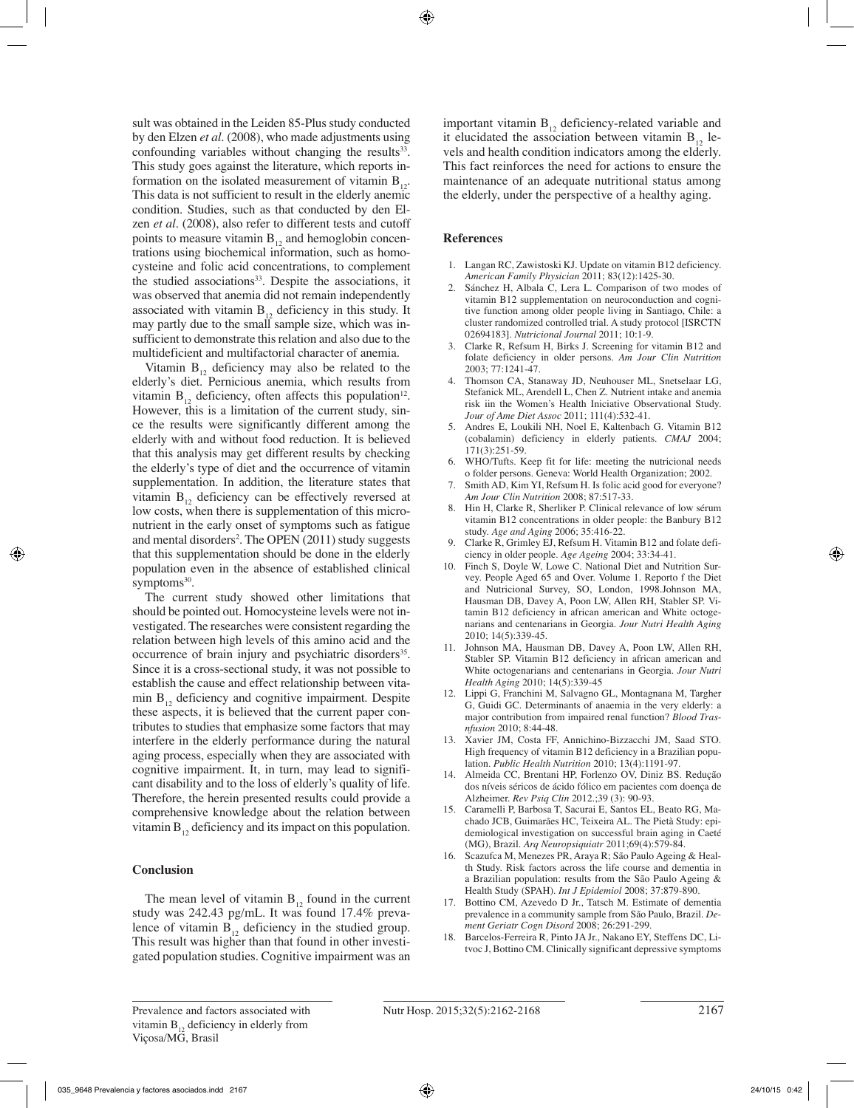sult was obtained in the Leiden 85-Plus study conducted by den Elzen *et al.* (2008), who made adjustments using confounding variables without changing the results $33$ . This study goes against the literature, which reports information on the isolated measurement of vitamin  $B_{12}$ . This data is not sufficient to result in the elderly anemic condition. Studies, such as that conducted by den Elzen *et al.* (2008), also refer to different tests and cutoff points to measure vitamin  $B_{12}$  and hemoglobin concentrations using biochemical information, such as homocysteine and folic acid concentrations, to complement the studied associations<sup>33</sup>. Despite the associations, it was observed that anemia did not remain independently associated with vitamin  $B_{12}$  deficiency in this study. It may partly due to the small sample size, which was insufficient to demonstrate this relation and also due to the multideficient and multifactorial character of anemia.

Vitamin  $B_{12}$  deficiency may also be related to the elderly's diet. Pernicious anemia, which results from vitamin  $B_{12}$  deficiency, often affects this population<sup>12</sup>. However, this is a limitation of the current study, since the results were significantly different among the elderly with and without food reduction. It is believed that this analysis may get different results by checking the elderly's type of diet and the occurrence of vitamin supplementation. In addition, the literature states that vitamin  $B_{12}$  deficiency can be effectively reversed at low costs, when there is supplementation of this micronutrient in the early onset of symptoms such as fatigue and mental disorders<sup>2</sup>. The OPEN (2011) study suggests that this supplementation should be done in the elderly population even in the absence of established clinical symptoms<sup>30</sup>.

The current study showed other limitations that should be pointed out. Homocysteine levels were not investigated. The researches were consistent regarding the relation between high levels of this amino acid and the occurrence of brain injury and psychiatric disorders<sup>35</sup>. Since it is a cross-sectional study, it was not possible to establish the cause and effect relationship between vitamin  $B_{12}$ , deficiency and cognitive impairment. Despite these aspects, it is believed that the current paper contributes to studies that emphasize some factors that may interfere in the elderly performance during the natural aging process, especially when they are associated with cognitive impairment. It, in turn, may lead to significant disability and to the loss of elderly's quality of life. Therefore, the herein presented results could provide a comprehensive knowledge about the relation between vitamin  $B_{12}$ , deficiency and its impact on this population.

## **Conclusion**

The mean level of vitamin  $B_{12}$  found in the current study was 242.43 pg/mL. It was found 17.4% prevalence of vitamin  $B_{12}$  deficiency in the studied group. This result was higher than that found in other investigated population studies. Cognitive impairment was an

important vitamin  $B_{12}$  deficiency-related variable and it elucidated the association between vitamin  $B_{12}$  levels and health condition indicators among the elderly. This fact reinforces the need for actions to ensure the maintenance of an adequate nutritional status among the elderly, under the perspective of a healthy aging.

## **References**

- 1. Langan RC, Zawistoski KJ. Update on vitamin B12 deficiency. *American Family Physician* 2011; 83(12):1425-30.
- 2. Sánchez H, Albala C, Lera L. Comparison of two modes of vitamin B12 supplementation on neuroconduction and cognitive function among older people living in Santiago, Chile: a cluster randomized controlled trial. A study protocol [ISRCTN 02694183]. *Nutricional Journal* 2011; 10:1-9.
- 3. Clarke R, Refsum H, Birks J. Screening for vitamin B12 and folate deficiency in older persons. *Am Jour Clin Nutrition* 2003; 77:1241-47.
- 4. Thomson CA, Stanaway JD, Neuhouser ML, Snetselaar LG, Stefanick ML, Arendell L, Chen Z. Nutrient intake and anemia risk iin the Women's Health Iniciative Observational Study. *Jour of Ame Diet Assoc* 2011; 111(4):532-41.
- 5. Andres E, Loukili NH, Noel E, Kaltenbach G. Vitamin B12 (cobalamin) deficiency in elderly patients. *CMAJ* 2004; 171(3):251-59.
- 6. WHO/Tufts. Keep fit for life: meeting the nutricional needs o folder persons. Geneva: World Health Organization; 2002.
- Smith AD, Kim YI, Refsum H. Is folic acid good for everyone? *Am Jour Clin Nutrition* 2008; 87:517-33.
- 8. Hin H, Clarke R, Sherliker P. Clinical relevance of low sérum vitamin B12 concentrations in older people: the Banbury B12 study. *Age and Aging* 2006; 35:416-22.
- 9. Clarke R, Grimley EJ, Refsum H. Vitamin B12 and folate deficiency in older people. *Age Ageing* 2004; 33:34-41.
- 10. Finch S, Doyle W, Lowe C. National Diet and Nutrition Survey. People Aged 65 and Over. Volume 1. Reporto f the Diet and Nutricional Survey, SO, London, 1998.Johnson MA, Hausman DB, Davey A, Poon LW, Allen RH, Stabler SP. Vitamin B12 deficiency in african american and White octogenarians and centenarians in Georgia. *Jour Nutri Health Aging*  2010; 14(5):339-45.
- 11. Johnson MA, Hausman DB, Davey A, Poon LW, Allen RH, Stabler SP. Vitamin B12 deficiency in african american and White octogenarians and centenarians in Georgia. *Jour Nutri Health Aging* 2010; 14(5):339-45
- 12. Lippi G, Franchini M, Salvagno GL, Montagnana M, Targher G, Guidi GC. Determinants of anaemia in the very elderly: a major contribution from impaired renal function? *Blood Trasnfusion* 2010; 8:44-48.
- 13. Xavier JM, Costa FF, Annichino-Bizzacchi JM, Saad STO. High frequency of vitamin B12 deficiency in a Brazilian population. *Public Health Nutrition* 2010; 13(4):1191-97.
- 14. Almeida CC, Brentani HP, Forlenzo OV, Diniz BS. Redução dos níveis séricos de ácido fólico em pacientes com doença de Alzheimer. *Rev Psiq Clin* 2012.;39 (3): 90-93.
- 15. Caramelli P, Barbosa T, Sacurai E, Santos EL, Beato RG, Machado JCB, Guimarães HC, Teixeira AL. The Pietà Study: epidemiological investigation on successful brain aging in Caeté (MG), Brazil. *Arq Neuropsiquiatr* 2011;69(4):579-84.
- 16. Scazufca M, Menezes PR, Araya R; São Paulo Ageing & Health Study. Risk factors across the life course and dementia in a Brazilian population: results from the São Paulo Ageing & Health Study (SPAH). *Int J Epidemiol* 2008; 37:879-890.
- 17. Bottino CM, Azevedo D Jr., Tatsch M. Estimate of dementia prevalence in a community sample from São Paulo, Brazil. *Dement Geriatr Cogn Disord* 2008; 26:291-299.
- 18. Barcelos-Ferreira R, Pinto JA Jr., Nakano EY, Steffens DC, Litvoc J, Bottino CM. Clinically significant depressive symptoms